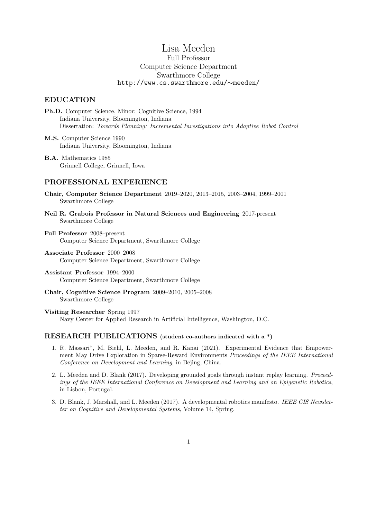# Lisa Meeden Full Professor Computer Science Department Swarthmore College http://www.cs.swarthmore.edu/∼meeden/

# EDUCATION

- Ph.D. Computer Science, Minor: Cognitive Science, 1994 Indiana University, Bloomington, Indiana Dissertation: Towards Planning: Incremental Investigations into Adaptive Robot Control
- M.S. Computer Science 1990 Indiana University, Bloomington, Indiana

B.A. Mathematics 1985 Grinnell College, Grinnell, Iowa

# PROFESSIONAL EXPERIENCE

- Chair, Computer Science Department 2019–2020, 2013–2015, 2003–2004, 1999–2001 Swarthmore College
- Neil R. Grabois Professor in Natural Sciences and Engineering 2017-present Swarthmore College
- Full Professor 2008–present Computer Science Department, Swarthmore College
- Associate Professor 2000–2008 Computer Science Department, Swarthmore College
- Assistant Professor 1994–2000 Computer Science Department, Swarthmore College
- Chair, Cognitive Science Program 2009–2010, 2005–2008 Swarthmore College
- Visiting Researcher Spring 1997 Navy Center for Applied Research in Artificial Intelligence, Washington, D.C.

# RESEARCH PUBLICATIONS (student co-authors indicated with a \*)

- 1. R. Massari\*, M. Biehl, L. Meeden, and R. Kanai (2021). Experimental Evidence that Empowerment May Drive Exploration in Sparse-Reward Environments Proceedings of the IEEE International Conference on Development and Learning, in Bejing, China.
- 2. L. Meeden and D. Blank (2017). Developing grounded goals through instant replay learning. Proceedings of the IEEE International Conference on Development and Learning and on Epigenetic Robotics, in Lisbon, Portugal.
- 3. D. Blank, J. Marshall, and L. Meeden (2017). A developmental robotics manifesto. IEEE CIS Newsletter on Cognitive and Developmental Systems, Volume 14, Spring.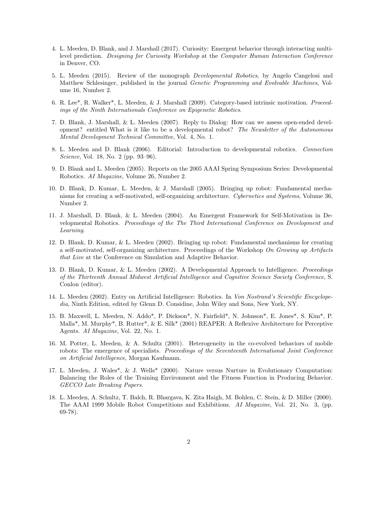- 4. L. Meeden, D. Blank, and J. Marshall (2017). Curiosity: Emergent behavior through interacting multilevel prediction. Designing for Curiosity Workshop at the Computer Human Interaction Conference in Denver, CO.
- 5. L. Meeden (2015). Review of the monograph Developmental Robotics, by Angelo Cangelosi and Matthew Schlesinger, published in the journal Genetic Programming and Evolvable Machines, Volume 16, Number 2.
- 6. R. Lee\*, R. Walker\*, L. Meeden, & J. Marshall (2009). Category-based intrinsic motivation. Proceedings of the Ninth Internationals Conference on Epigenetic Robotics.
- 7. D. Blank, J. Marshall, & L. Meeden (2007). Reply to Dialog: How can we assess open-ended development? entitled What is it like to be a developmental robot? The Newsletter of the Autonomous Mental Development Technical Committee, Vol. 4, No. 1.
- 8. L. Meeden and D. Blank (2006). Editorial: Introduction to developmental robotics. Connection Science, Vol. 18, No. 2 (pp. 93–96).
- 9. D. Blank and L. Meeden (2005). Reports on the 2005 AAAI Spring Symposium Series: Developmental Robotics. AI Magazine, Volume 26, Number 2.
- 10. D. Blank, D. Kumar, L. Meeden, & J. Marshall (2005). Bringing up robot: Fundamental mechanisms for creating a self-motivated, self-organizing architecture. Cybernetics and Systems, Volume 36, Number 2.
- 11. J. Marshall, D. Blank, & L. Meeden (2004). An Emergent Framework for Self-Motivation in Developmental Robotics. Proceedings of the The Third International Conference on Development and Learning.
- 12. D. Blank, D. Kumar, & L. Meeden (2002). Bringing up robot: Fundamental mechanisms for creating a self-motivated, self-organizing architecture. Proceedings of the Workshop On Growing up Artifacts that Live at the Conference on Simulation and Adaptive Behavior.
- 13. D. Blank, D. Kumar, & L. Meeden (2002). A Developmental Approach to Intelligence. Proceedings of the Thirteenth Annual Midwest Artificial Intelligence and Cognitive Science Society Conference, S. Conlon (editor).
- 14. L. Meeden (2002). Entry on Artificial Intelligence: Robotics. In Von Nostrand's Scientific Encyclopedia, Ninth Edition, edited by Glenn D. Considine, John Wiley and Sons, New York, NY.
- 15. B. Maxwell, L. Meeden, N. Addo\*, P. Dickson\*, N. Fairfield\*, N. Johnson\*, E. Jones\*, S. Kim\*, P. Malla\*, M. Murphy\*, B. Rutter\*, & E. Silk\* (2001) REAPER: A Reflexive Architecture for Perceptive Agents. AI Magazine, Vol. 22, No. 1.
- 16. M. Potter, L. Meeden, & A. Schultz (2001). Heterogeneity in the co-evolved behaviors of mobile robots: The emergence of specialists. *Proceedings of the Seventeenth International Joint Conference* on Artificial Intelligence, Morgan Kaufmann.
- 17. L. Meeden, J. Wales\*, & J. Wells\* (2000). Nature versus Nurture in Evolutionary Computation: Balancing the Roles of the Training Environment and the Fitness Function in Producing Behavior. GECCO Late Breaking Papers.
- 18. L. Meeden, A. Schultz, T. Balch, R. Bhargava, K. Zita Haigh, M. Bohlen, C. Stein, & D. Miller (2000). The AAAI 1999 Mobile Robot Competitions and Exhibitions. AI Magazine, Vol. 21, No. 3, (pp. 69-78).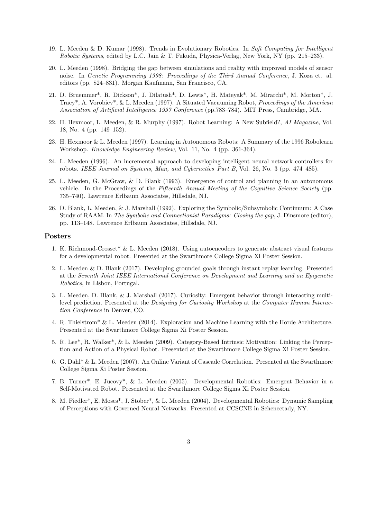- 19. L. Meeden & D. Kumar (1998). Trends in Evolutionary Robotics. In Soft Computing for Intelligent Robotic Systems, edited by L.C. Jain & T. Fukuda, Physica-Verlag, New York, NY (pp. 215–233).
- 20. L. Meeden (1998). Bridging the gap between simulations and reality with improved models of sensor noise. In Genetic Programming 1998: Proceedings of the Third Annual Conference, J. Koza et. al. editors (pp. 824–831). Morgan Kaufmann, San Francisco, CA.
- 21. D. Bruemmer\*, R. Dickson\*, J. Dilatush\*, D. Lewis\*, H. Mateyak\*, M. Mirarchi\*, M. Morton\*, J. Tracy\*, A. Vorobiev\*, & L. Meeden (1997). A Situated Vacuuming Robot, Proceedings of the American Association of Artificial Intelligence 1997 Conference (pp.783–784). MIT Press, Cambridge, MA.
- 22. H. Hexmoor, L. Meeden, & R. Murphy (1997). Robot Learning: A New Subfield?, AI Magazine, Vol. 18, No. 4 (pp. 149–152).
- 23. H. Hexmoor & L. Meeden (1997). Learning in Autonomous Robots: A Summary of the 1996 Robolearn Workshop. Knowledge Engineering Review, Vol. 11, No. 4 (pp. 361-364).
- 24. L. Meeden (1996). An incremental approach to developing intelligent neural network controllers for robots. IEEE Journal on Systems, Man, and Cybernetics–Part B, Vol. 26, No. 3 (pp. 474–485).
- 25. L. Meeden, G. McGraw, & D. Blank (1993). Emergence of control and planning in an autonomous vehicle. In the Proceedings of the Fifteenth Annual Meeting of the Cognitive Science Society (pp. 735–740). Lawrence Erlbaum Associates, Hillsdale, NJ.
- 26. D. Blank, L. Meeden, & J. Marshall (1992). Exploring the Symbolic/Subsymbolic Continuum: A Case Study of RAAM. In The Symbolic and Connectionist Paradigms: Closing the gap, J. Dinsmore (editor), pp. 113–148. Lawrence Erlbaum Associates, Hillsdale, NJ.

#### Posters

- 1. K. Richmond-Crosset\* & L. Meeden (2018). Using autoencoders to generate abstract visual features for a developmental robot. Presented at the Swarthmore College Sigma Xi Poster Session.
- 2. L. Meeden & D. Blank (2017). Developing grounded goals through instant replay learning. Presented at the Seventh Joint IEEE International Conference on Development and Learning and on Epigenetic Robotics, in Lisbon, Portugal.
- 3. L. Meeden, D. Blank, & J. Marshall (2017). Curiosity: Emergent behavior through interacting multilevel prediction. Presented at the Designing for Curiosity Workshop at the Computer Human Interaction Conference in Denver, CO.
- 4. R. Thielstrom\* & L. Meeden (2014). Exploration and Machine Learning with the Horde Architecture. Presented at the Swarthmore College Sigma Xi Poster Session.
- 5. R. Lee\*, R. Walker\*, & L. Meeden (2009). Category-Based Intrinsic Motivation: Linking the Perception and Action of a Physical Robot. Presented at the Swarthmore College Sigma Xi Poster Session.
- 6. G. Dahl\* & L. Meeden (2007). An Online Variant of Cascade Correlation. Presented at the Swarthmore College Sigma Xi Poster Session.
- 7. B. Turner\*, E. Jucovy\*, & L. Meeden (2005). Developmental Robotics: Emergent Behavior in a Self-Motivated Robot. Presented at the Swarthmore College Sigma Xi Poster Session.
- 8. M. Fiedler\*, E. Moses\*, J. Stober\*, & L. Meeden (2004). Developmental Robotics: Dynamic Sampling of Perceptions with Governed Neural Networks. Presented at CCSCNE in Schenectady, NY.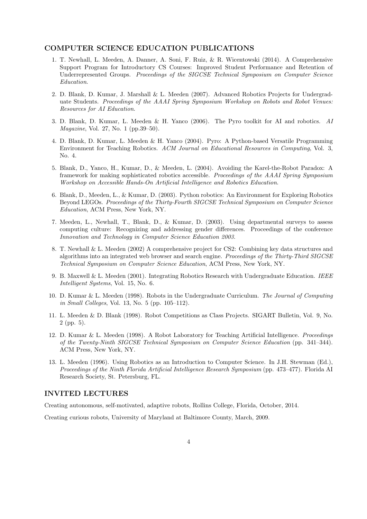#### COMPUTER SCIENCE EDUCATION PUBLICATIONS

- 1. T. Newhall, L. Meeden, A. Danner, A. Soni, F. Ruiz, & R. Wicentowski (2014). A Comprehensive Support Program for Introductory CS Courses: Improved Student Performance and Retention of Underrepresented Groups. Proceedings of the SIGCSE Technical Symposium on Computer Science Education.
- 2. D. Blank, D. Kumar, J. Marshall & L. Meeden (2007). Advanced Robotics Projects for Undergraduate Students. Proceedings of the AAAI Spring Symposium Workshop on Robots and Robot Venues: Resources for AI Education.
- 3. D. Blank, D. Kumar, L. Meeden & H. Yanco (2006). The Pyro toolkit for AI and robotics. AI Magazine, Vol. 27, No. 1 (pp.39–50).
- 4. D. Blank, D. Kumar, L. Meeden & H. Yanco (2004). Pyro: A Python-based Versatile Programming Environment for Teaching Robotics. ACM Journal on Educational Resources in Computing, Vol. 3, No. 4.
- 5. Blank, D., Yanco, H., Kumar, D., & Meeden, L. (2004). Avoiding the Karel-the-Robot Paradox: A framework for making sophisticated robotics accessible. Proceedings of the AAAI Spring Symposium Workshop on Accessible Hands-On Artificial Intelligence and Robotics Education.
- 6. Blank, D., Meeden, L., & Kumar, D. (2003). Python robotics: An Environment for Exploring Robotics Beyond LEGOs. Proceedings of the Thirty-Fourth SIGCSE Technical Symposium on Computer Science Education, ACM Press, New York, NY.
- 7. Meeden, L., Newhall, T., Blank, D., & Kumar, D. (2003). Using departmental surveys to assess computing culture: Recognizing and addressing gender differences. Proceedings of the conference Innovation and Technology in Computer Science Education 2003.
- 8. T. Newhall & L. Meeden (2002) A comprehensive project for CS2: Combining key data structures and algorithms into an integrated web browser and search engine. Proceedings of the Thirty-Third SIGCSE Technical Symposium on Computer Science Education, ACM Press, New York, NY.
- 9. B. Maxwell & L. Meeden (2001). Integrating Robotics Research with Undergraduate Education. IEEE Intelligent Systems, Vol. 15, No. 6.
- 10. D. Kumar & L. Meeden (1998). Robots in the Undergraduate Curriculum. The Journal of Computing in Small Colleges, Vol. 13, No. 5 (pp. 105–112).
- 11. L. Meeden & D. Blank (1998). Robot Competitions as Class Projects. SIGART Bulletin, Vol. 9, No. 2 (pp. 5).
- 12. D. Kumar & L. Meeden (1998). A Robot Laboratory for Teaching Artificial Intelligence. Proceedings of the Twenty-Ninth SIGCSE Technical Symposium on Computer Science Education (pp. 341–344). ACM Press, New York, NY.
- 13. L. Meeden (1996). Using Robotics as an Introduction to Computer Science. In J.H. Stewman (Ed.), Proceedings of the Ninth Florida Artificial Intelligence Research Symposium (pp. 473–477). Florida AI Research Society, St. Petersburg, FL.

### INVITED LECTURES

Creating autonomous, self-motivated, adaptive robots, Rollins College, Florida, October, 2014.

Creating curious robots, University of Maryland at Baltimore County, March, 2009.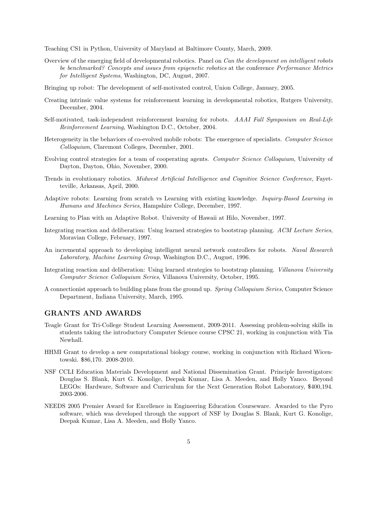Teaching CS1 in Python, University of Maryland at Baltimore County, March, 2009.

- Overview of the emerging field of developmental robotics. Panel on Can the development on intelligent robots be benchmarked? Concepts and issues from epigenetic robotics at the conference Performance Metrics for Intelligent Systems, Washington, DC, August, 2007.
- Bringing up robot: The development of self-motivated control, Union College, January, 2005.
- Creating intrinsic value systems for reinforcement learning in developmental robotics, Rutgers University, December, 2004.
- Self-motivated, task-independent reinforcement learning for robots. AAAI Fall Symposium on Real-Life Reinforcement Learning, Washington D.C., October, 2004.
- Heterogeneity in the behaviors of co-evolved mobile robots: The emergence of specialists. Computer Science Colloquium, Claremont Colleges, December, 2001.
- Evolving control strategies for a team of cooperating agents. Computer Science Colloquium, University of Dayton, Dayton, Ohio, November, 2000.
- Trends in evolutionary robotics. Midwest Artificial Intelligence and Cognitive Science Conference, Fayetteville, Arkansas, April, 2000.
- Adaptive robots: Learning from scratch vs Learning with existing knowledge. Inquiry-Based Learning in Humans and Machines Series, Hampshire College, December, 1997.
- Learning to Plan with an Adaptive Robot. University of Hawaii at Hilo, November, 1997.
- Integrating reaction and deliberation: Using learned strategies to bootstrap planning. ACM Lecture Series, Moravian College, February, 1997.
- An incremental approach to developing intelligent neural network controllers for robots. Naval Research Laboratory, Machine Learning Group, Washington D.C., August, 1996.
- Integrating reaction and deliberation: Using learned strategies to bootstrap planning. Villanova University Computer Science Colloquium Series, Villanova University, October, 1995.
- A connectionist approach to building plans from the ground up. Spring Colloquium Series, Computer Science Department, Indiana University, March, 1995.

#### GRANTS AND AWARDS

- Teagle Grant for Tri-College Student Learning Assessment, 2009-2011. Assessing problem-solving skills in students taking the introductory Computer Science course CPSC 21, working in conjunction with Tia Newhall.
- HHMI Grant to develop a new computational biology course, working in conjunction with Richard Wicentowski. \$86,170. 2008-2010.
- NSF CCLI Education Materials Development and National Dissemination Grant. Principle Investigators: Douglas S. Blank, Kurt G. Konolige, Deepak Kumar, Lisa A. Meeden, and Holly Yanco. Beyond LEGOs: Hardware, Software and Curriculum for the Next Generation Robot Laboratory, \$400,194. 2003-2006.
- NEEDS 2005 Premier Award for Excellence in Engineering Education Courseware. Awarded to the Pyro software, which was developed through the support of NSF by Douglas S. Blank, Kurt G. Konolige, Deepak Kumar, Lisa A. Meeden, and Holly Yanco.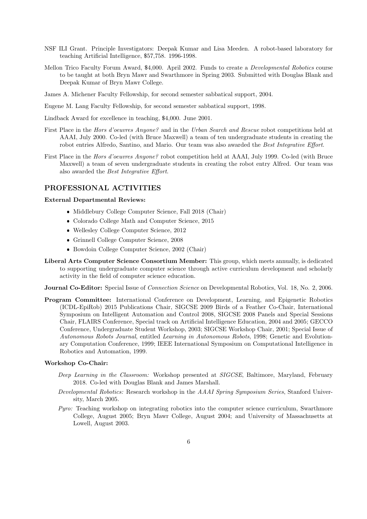- NSF ILI Grant. Principle Investigators: Deepak Kumar and Lisa Meeden. A robot-based laboratory for teaching Artificial Intelligence, \$57,758. 1996-1998.
- Mellon Trico Faculty Forum Award, \$4,000. April 2002. Funds to create a Developmental Robotics course to be taught at both Bryn Mawr and Swarthmore in Spring 2003. Submitted with Douglas Blank and Deepak Kumar of Bryn Mawr College.
- James A. Michener Faculty Fellowship, for second semester sabbatical support, 2004.
- Eugene M. Lang Faculty Fellowship, for second semester sabbatical support, 1998.
- Lindback Award for excellence in teaching, \$4,000. June 2001.
- First Place in the Hors d'oeuvres Anyone? and in the Urban Search and Rescue robot competitions held at AAAI, July 2000. Co-led (with Bruce Maxwell) a team of ten undergraduate students in creating the robot entries Alfredo, Santino, and Mario. Our team was also awarded the Best Integrative Effort.
- First Place in the Hors d'oeuvres Anyone? robot competition held at AAAI, July 1999. Co-led (with Bruce Maxwell) a team of seven undergraduate students in creating the robot entry Alfred. Our team was also awarded the Best Integrative Effort.

### PROFESSIONAL ACTIVITIES

External Departmental Reviews:

- Middlebury College Computer Science, Fall 2018 (Chair)
- Colorado College Math and Computer Science, 2015
- Wellesley College Computer Science, 2012
- Grinnell College Computer Science, 2008
- Bowdoin College Computer Science, 2002 (Chair)
- Liberal Arts Computer Science Consortium Member: This group, which meets annually, is dedicated to supporting undergraduate computer science through active curriculum development and scholarly activity in the field of computer science education.

Journal Co-Editor: Special Issue of Connection Science on Developmental Robotics, Vol. 18, No. 2, 2006.

Program Committee: International Conference on Development, Learning, and Epigenetic Robotics (ICDL-EpiRob) 2015 Publications Chair, SIGCSE 2009 Birds of a Feather Co-Chair, International Symposium on Intelligent Automation and Control 2008, SIGCSE 2008 Panels and Special Sessions Chair, FLAIRS Conference, Special track on Artificial Intelligence Education, 2004 and 2005; GECCO Conference, Undergraduate Student Workshop, 2003; SIGCSE Workshop Chair, 2001; Special Issue of Autonomous Robots Journal, entitled Learning in Autonomous Robots, 1998; Genetic and Evolutionary Computation Conference, 1999; IEEE International Symposium on Computational Intelligence in Robotics and Automation, 1999.

#### Workshop Co-Chair:

- Deep Learning in the Classroom: Workshop presented at SIGCSE, Baltimore, Maryland, February 2018. Co-led with Douglas Blank and James Marshall.
- Developmental Robotics: Research workshop in the AAAI Spring Symposium Series, Stanford University, March 2005.
- Pyro: Teaching workshop on integrating robotics into the computer science curriculum, Swarthmore College, August 2005; Bryn Mawr College, August 2004; and University of Massachusetts at Lowell, August 2003.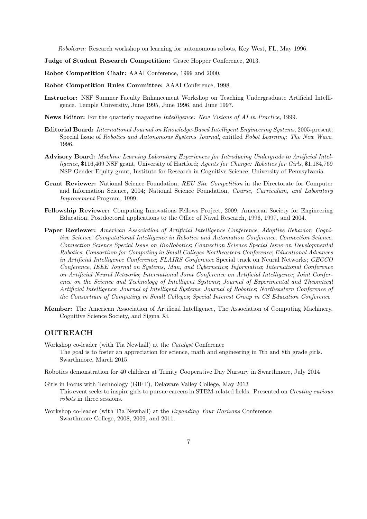Robolearn: Research workshop on learning for autonomous robots, Key West, FL, May 1996.

Judge of Student Research Competition: Grace Hopper Conference, 2013.

Robot Competition Chair: AAAI Conference, 1999 and 2000.

Robot Competition Rules Committee: AAAI Conference, 1998.

- Instructor: NSF Summer Faculty Enhancement Workshop on Teaching Undergraduate Artificial Intelligence. Temple University, June 1995, June 1996, and June 1997.
- News Editor: For the quarterly magazine Intelligence: New Visions of AI in Practice, 1999.
- Editorial Board: International Journal on Knowledge-Based Intelligent Engineering Systems, 2005-present; Special Issue of Robotics and Autonomous Systems Journal, entitled Robot Learning: The New Wave, 1996.
- Advisory Board: Machine Learning Laboratory Experiences for Introducing Undergrads to Artificial Intelligence, \$116,469 NSF grant, University of Hartford; Agents for Change: Robotics for Girls, \$1,184,769 NSF Gender Equity grant, Institute for Research in Cognitive Science, University of Pennsylvania.
- Grant Reviewer: National Science Foundation, REU Site Competition in the Directorate for Computer and Information Science, 2004; National Science Foundation, Course, Curriculum, and Laboratory Improvement Program, 1999.
- Fellowship Reviewer: Computing Innovations Fellows Project, 2009; American Society for Engineering Education, Postdoctoral applications to the Office of Naval Research, 1996, 1997, and 2004.
- Paper Reviewer: American Association of Artificial Intelligence Conference; Adaptive Behavior; Cognitive Science; Computational Intelligence in Robotics and Automation Conference; Connection Science; Connection Science Special Issue on BioRobotics; Connection Science Special Issue on Developmental Robotics; Consortium for Computing in Small Colleges Northeastern Conference; Educational Advances in Artificial Intelligence Conference; FLAIRS Conference Special track on Neural Networks; GECCO Conference, IEEE Journal on Systems, Man, and Cybernetics; Informatica; International Conference on Artificial Neural Networks; International Joint Conference on Artificial Intelligence; Joint Conference on the Science and Technology of Intelligent Systems; Journal of Experimental and Theoretical Artificial Intelligence; Journal of Intelligent Systems; Journal of Robotics; Northeastern Conference of the Consortium of Computing in Small Colleges; Special Interest Group in CS Education Conference.
- Member: The American Association of Artificial Intelligence, The Association of Computing Machinery, Cognitive Science Society, and Sigma Xi.

# OUTREACH

- Workshop co-leader (with Tia Newhall) at the Catalyst Conference The goal is to foster an appreciation for science, math and engineering in 7th and 8th grade girls. Swarthmore, March 2015.
- Robotics demonstration for 40 children at Trinity Cooperative Day Nursury in Swarthmore, July 2014
- Girls in Focus with Technology (GIFT), Delaware Valley College, May 2013 This event seeks to inspire girls to pursue careers in STEM-related fields. Presented on Creating curious robots in three sessions.
- Workshop co-leader (with Tia Newhall) at the Expanding Your Horizons Conference Swarthmore College, 2008, 2009, and 2011.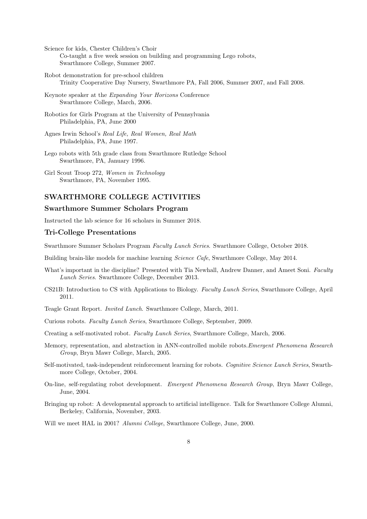Science for kids, Chester Children's Choir Co-taught a five week session on building and programming Lego robots, Swarthmore College, Summer 2007.

- Robot demonstration for pre-school children Trinity Cooperative Day Nursery, Swarthmore PA, Fall 2006, Summer 2007, and Fall 2008.
- Keynote speaker at the Expanding Your Horizons Conference Swarthmore College, March, 2006.
- Robotics for Girls Program at the University of Pennsylvania Philadelphia, PA, June 2000
- Agnes Irwin School's Real Life, Real Women, Real Math Philadelphia, PA, June 1997.
- Lego robots with 5th grade class from Swarthmore Rutledge School Swarthmore, PA, January 1996.
- Girl Scout Troop 272, Women in Technology Swarthmore, PA, November 1995.

# SWARTHMORE COLLEGE ACTIVITIES

### Swarthmore Summer Scholars Program

Instructed the lab science for 16 scholars in Summer 2018.

#### Tri-College Presentations

Swarthmore Summer Scholars Program Faculty Lunch Series. Swarthmore College, October 2018.

Building brain-like models for machine learning Science Cafe, Swarthmore College, May 2014.

- What's important in the discipline? Presented with Tia Newhall, Andrew Danner, and Ameet Soni. Faculty Lunch Series. Swarthmore College, December 2013.
- CS21B: Introduction to CS with Applications to Biology. Faculty Lunch Series, Swarthmore College, April 2011.
- Teagle Grant Report. Invited Lunch. Swarthmore College, March, 2011.
- Curious robots. Faculty Lunch Series, Swarthmore College, September, 2009.

Creating a self-motivated robot. Faculty Lunch Series, Swarthmore College, March, 2006.

- Memory, representation, and abstraction in ANN-controlled mobile robots.Emergent Phenomena Research Group, Bryn Mawr College, March, 2005.
- Self-motivated, task-independent reinforcement learning for robots. Cognitive Science Lunch Series, Swarthmore College, October, 2004.
- On-line, self-regulating robot development. Emergent Phenomena Research Group, Bryn Mawr College, June, 2004.
- Bringing up robot: A developmental approach to artificial intelligence. Talk for Swarthmore College Alumni, Berkeley, California, November, 2003.

Will we meet HAL in 2001? Alumni College, Swarthmore College, June, 2000.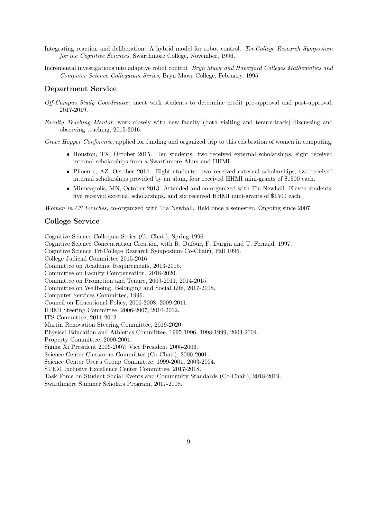- Integrating reaction and deliberation: A hybrid model for robot control. Tri-College Research Symposium for the Cognitive Sciences, Swarthmore College, November, 1996.
- Incremental investigations into adaptive robot control. Bryn Mawr and Haverford Colleges Mathematics and Computer Science Colloquium Series, Bryn Mawr College, February, 1995.

# Department Service

- Off-Campus Study Coordinator, meet with students to determine credit pre-approval and post-approval, 2017-2019.
- Faculty Teaching Mentor, work closely with new faculty (both visiting and tenure-track) discussing and observing teaching, 2015-2016.

Grace Hopper Conference, applied for funding and organized trip to this celebration of women in computing:

- Houston, TX, October 2015. Ten students: two received external scholarships, eight received internal scholarships from a Swarthmore Alum and HHMI.
- Phoenix, AZ, October 2014. Eight students: two received external scholarships, two received internal scholarships provided by an alum, four received HHMI mini-grants of \$1500 each.
- Minneapolis, MN, October 2013. Attended and co-organized with Tia Newhall. Eleven students: five received external scholarships, and six received HHMI mini-grants of \$1500 each.

Women in CS Lunches, co-organized with Tia Newhall. Held once a semester. Ongoing since 2007.

#### College Service

Cognitive Science Colloquia Series (Co-Chair), Spring 1996. Cognitive Science Concentration Creation, with R. Dufour, F. Durgin and T. Fernald, 1997. Cognitive Science Tri-College Research Symposium(Co-Chair), Fall 1996. College Judicial Committee 2015-2016. Committee on Academic Requirements, 2013-2015. Committee on Faculty Compensation, 2018-2020. Committee on Promotion and Tenure, 2009-2011, 2014-2015. Committee on Wellbeing, Belonging and Social Life, 2017-2018. Computer Services Committee, 1996. Council on Educational Policy, 2006-2008, 2009-2011. HHMI Steering Committee, 2006-2007, 2010-2012. ITS Committee, 2011-2012. Martin Renovation Steering Committee, 2019-2020. Physical Education and Athletics Committee, 1995-1996, 1998-1999, 2003-2004. Property Committee, 2000-2001. Sigma Xi President 2006-2007; Vice President 2005-2006. Science Center Classroom Committee (Co-Chair), 2000-2001. Science Center User's Group Committee, 1999-2001, 2003-2004. STEM Inclusive Excellence Center Committee, 2017-2018. Task Force on Student Social Events and Community Standards (Co-Chair), 2018-2019. Swarthmore Summer Scholars Program, 2017-2018.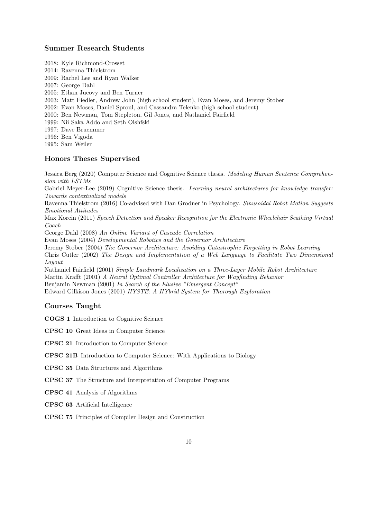# Summer Research Students

2018: Kyle Richmond-Crosset 2014: Ravenna Thielstrom 2009: Rachel Lee and Ryan Walker 2007: George Dahl 2005: Ethan Jucovy and Ben Turner 2003: Matt Fiedler, Andrew John (high school student), Evan Moses, and Jeremy Stober 2002: Evan Moses, Daniel Sproul, and Cassandra Telenko (high school student) 2000: Ben Newman, Tom Stepleton, Gil Jones, and Nathaniel Fairfield 1999: Nii Saka Addo and Seth Olshfski 1997: Dave Bruemmer 1996: Ben Vigoda 1995: Sam Weiler

# Honors Theses Supervised

Jessica Berg (2020) Computer Science and Cognitive Science thesis. Modeling Human Sentence Comprehension with LSTMs

Gabriel Meyer-Lee (2019) Cognitive Science thesis. Learning neural architectures for knowledge transfer: Towards contextualized models

Ravenna Thielstrom (2016) Co-advised with Dan Grodner in Psychology. Sinusoidal Robot Motion Suggests Emotional Attitudes

Max Korein (2011) Speech Detection and Speaker Recognition for the Electronic Wheelchair Seathing Virtual Coach

George Dahl (2008) An Online Variant of Cascade Correlation

Evan Moses (2004) Developmental Robotics and the Governor Architecture

Jeremy Stober (2004) The Governor Architecture: Avoiding Catastrophic Forgetting in Robot Learning Chris Cutler (2002) The Design and Implementation of a Web Language to Facilitate Two Dimensional Layout

Nathaniel Fairfield (2001) Simple Landmark Localization on a Three-Layer Mobile Robot Architecture Martin Krafft (2001) A Neural Optimal Controller Architecture for Wayfinding Behavior Benjamin Newman (2001) In Search of the Elusive "Emergent Concept" Edward Gilkison Jones (2001) HYSTE: A HYbrid System for Thorough Exploration

#### Courses Taught

COGS 1 Introduction to Cognitive Science

CPSC 10 Great Ideas in Computer Science

CPSC 21 Introduction to Computer Science

CPSC 21B Introduction to Computer Science: With Applications to Biology

CPSC 35 Data Structures and Algorithms

CPSC 37 The Structure and Interpretation of Computer Programs

CPSC 41 Analysis of Algorithms

CPSC 63 Artificial Intelligence

CPSC 75 Principles of Compiler Design and Construction